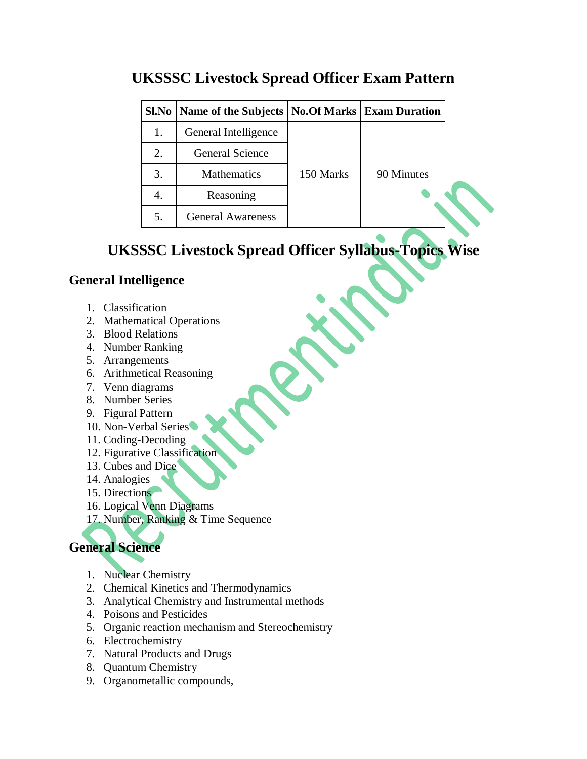| Sl.No | Name of the Subjects   No.Of Marks   Exam Duration |           |            |
|-------|----------------------------------------------------|-----------|------------|
| 1.    | General Intelligence                               |           |            |
| 2.    | <b>General Science</b>                             |           |            |
| 3.    | Mathematics                                        | 150 Marks | 90 Minutes |
| 4.    | Reasoning                                          |           |            |
| 5.    | <b>General Awareness</b>                           |           |            |

## **UKSSSC Livestock Spread Officer Exam Pattern**

## **UKSSSC Livestock Spread Officer Syllabus-Topics Wise**

### **General Intelligence**

- 1. Classification
- 2. Mathematical Operations
- 3. Blood Relations
- 4. Number Ranking
- 5. Arrangements
- 6. Arithmetical Reasoning
- 7. Venn diagrams
- 8. Number Series
- 9. Figural Pattern
- 10. Non-Verbal Series
- 11. Coding-Decoding
- 12. Figurative Classification
- 13. Cubes and Dice
- 14. Analogies
- 15. Directions
- 16. Logical Venn Diagrams
- 17. Number, Ranking & Time Sequence

# **General Science**

- 1. Nuclear Chemistry
- 2. Chemical Kinetics and Thermodynamics
- 3. Analytical Chemistry and Instrumental methods
- 4. Poisons and Pesticides
- 5. Organic reaction mechanism and Stereochemistry
- 6. Electrochemistry
- 7. Natural Products and Drugs
- 8. Quantum Chemistry
- 9. Organometallic compounds,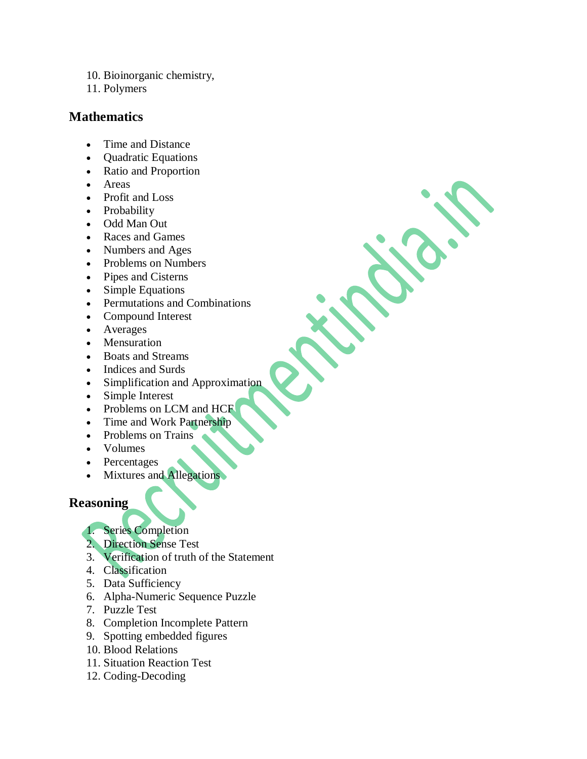- 10. Bioinorganic chemistry,
- 11. Polymers

#### **Mathematics**

- Time and Distance
- Quadratic Equations
- Ratio and Proportion
- Areas
- Profit and Loss
- Probability
- Odd Man Out
- Races and Games
- Numbers and Ages
- Problems on Numbers
- Pipes and Cisterns
- Simple Equations
- Permutations and Combinations
- Compound Interest
- Averages
- Mensuration
- Boats and Streams
- Indices and Surds
- Simplification and Approximation
- Simple Interest
- Problems on LCM and HCF
- Time and Work Partnership
- Problems on Trains
- Volumes
- Percentages
- Mixtures and Allegations

#### **Reasoning**

- 1. Series Completion
- 2. Direction Sense Test
- 3. Verification of truth of the Statement
- 4. Classification
- 5. Data Sufficiency
- 6. Alpha-Numeric Sequence Puzzle
- 7. Puzzle Test
- 8. Completion Incomplete Pattern
- 9. Spotting embedded figures
- 10. Blood Relations
- 11. Situation Reaction Test
- 12. Coding-Decoding